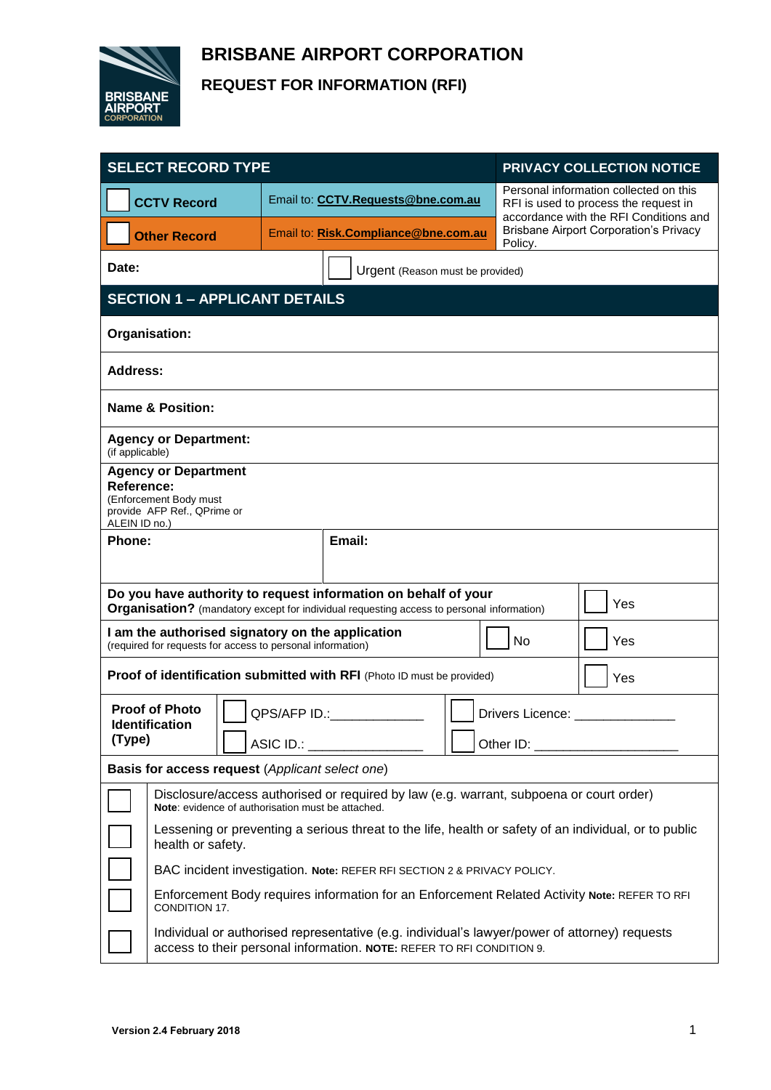

# **BRISBANE AIRPORT CORPORATION REQUEST FOR INFORMATION (RFI)**

| <b>SELECT RECORD TYPE</b>                                                                                                                                                 |                                                                                                                                                                        |              |                                      |  | PRIVACY COLLECTION NOTICE                                                                                                                                                                                                      |  |  |
|---------------------------------------------------------------------------------------------------------------------------------------------------------------------------|------------------------------------------------------------------------------------------------------------------------------------------------------------------------|--------------|--------------------------------------|--|--------------------------------------------------------------------------------------------------------------------------------------------------------------------------------------------------------------------------------|--|--|
|                                                                                                                                                                           | <b>CCTV Record</b>                                                                                                                                                     |              | Email to: CCTV.Requests@bne.com.au   |  | Personal information collected on this<br>RFI is used to process the request in<br>accordance with the RFI Conditions and                                                                                                      |  |  |
|                                                                                                                                                                           | <b>Other Record</b>                                                                                                                                                    |              | Email to: Risk.Compliance@bne.com.au |  | <b>Brisbane Airport Corporation's Privacy</b><br>Policy.                                                                                                                                                                       |  |  |
| Date:                                                                                                                                                                     |                                                                                                                                                                        |              | Urgent (Reason must be provided)     |  |                                                                                                                                                                                                                                |  |  |
| <b>SECTION 1 - APPLICANT DETAILS</b>                                                                                                                                      |                                                                                                                                                                        |              |                                      |  |                                                                                                                                                                                                                                |  |  |
| Organisation:                                                                                                                                                             |                                                                                                                                                                        |              |                                      |  |                                                                                                                                                                                                                                |  |  |
| <b>Address:</b>                                                                                                                                                           |                                                                                                                                                                        |              |                                      |  |                                                                                                                                                                                                                                |  |  |
| <b>Name &amp; Position:</b>                                                                                                                                               |                                                                                                                                                                        |              |                                      |  |                                                                                                                                                                                                                                |  |  |
| <b>Agency or Department:</b><br>(if applicable)                                                                                                                           |                                                                                                                                                                        |              |                                      |  |                                                                                                                                                                                                                                |  |  |
| <b>Agency or Department</b><br>Reference:<br>(Enforcement Body must<br>provide AFP Ref., QPrime or<br>ALEIN ID no.)                                                       |                                                                                                                                                                        |              |                                      |  |                                                                                                                                                                                                                                |  |  |
| Phone:                                                                                                                                                                    |                                                                                                                                                                        |              | Email:                               |  |                                                                                                                                                                                                                                |  |  |
|                                                                                                                                                                           |                                                                                                                                                                        |              |                                      |  |                                                                                                                                                                                                                                |  |  |
| Do you have authority to request information on behalf of your<br>Yes<br><b>Organisation?</b> (mandatory except for individual requesting access to personal information) |                                                                                                                                                                        |              |                                      |  |                                                                                                                                                                                                                                |  |  |
| I am the authorised signatory on the application<br>No<br>(required for requests for access to personal information)                                                      |                                                                                                                                                                        |              |                                      |  | Yes                                                                                                                                                                                                                            |  |  |
| Proof of identification submitted with RFI (Photo ID must be provided)<br>Yes                                                                                             |                                                                                                                                                                        |              |                                      |  |                                                                                                                                                                                                                                |  |  |
| <b>Proof of Photo</b><br><b>Identification</b>                                                                                                                            |                                                                                                                                                                        | QPS/AFP ID.: |                                      |  | Drivers Licence:                                                                                                                                                                                                               |  |  |
| (Type)                                                                                                                                                                    |                                                                                                                                                                        | ASIC ID.:    |                                      |  | Other ID: Network and State State State State State State State State State State State State State State State State State State State State State State State State State State State State State State State State State St |  |  |
| Basis for access request (Applicant select one)                                                                                                                           |                                                                                                                                                                        |              |                                      |  |                                                                                                                                                                                                                                |  |  |
|                                                                                                                                                                           | Disclosure/access authorised or required by law (e.g. warrant, subpoena or court order)<br>Note: evidence of authorisation must be attached.                           |              |                                      |  |                                                                                                                                                                                                                                |  |  |
|                                                                                                                                                                           | Lessening or preventing a serious threat to the life, health or safety of an individual, or to public<br>health or safety.                                             |              |                                      |  |                                                                                                                                                                                                                                |  |  |
|                                                                                                                                                                           | BAC incident investigation. Note: REFER RFI SECTION 2 & PRIVACY POLICY.                                                                                                |              |                                      |  |                                                                                                                                                                                                                                |  |  |
|                                                                                                                                                                           | Enforcement Body requires information for an Enforcement Related Activity Note: REFER TO RFI<br>CONDITION 17.                                                          |              |                                      |  |                                                                                                                                                                                                                                |  |  |
|                                                                                                                                                                           | Individual or authorised representative (e.g. individual's lawyer/power of attorney) requests<br>access to their personal information. NOTE: REFER TO RFI CONDITION 9. |              |                                      |  |                                                                                                                                                                                                                                |  |  |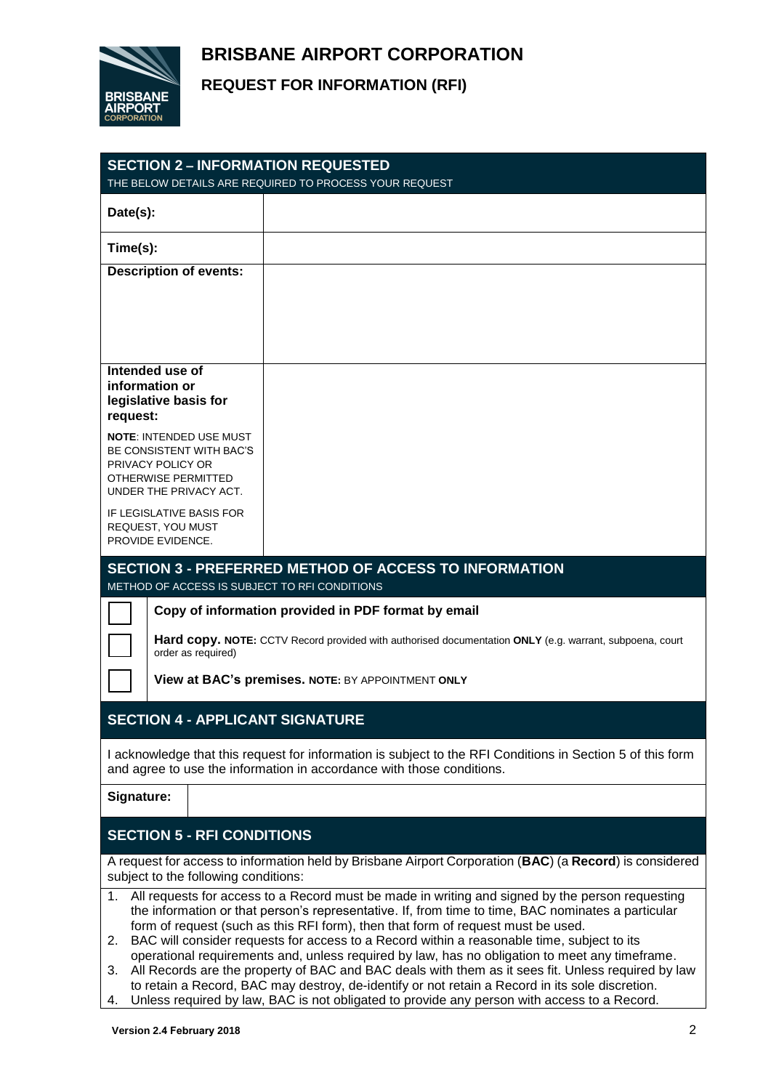## **BRISBANE AIRPORT CORPORATION**



### **REQUEST FOR INFORMATION (RFI)**

| <b>SECTION 2 - INFORMATION REQUESTED</b><br>THE BELOW DETAILS ARE REQUIRED TO PROCESS YOUR REQUEST                                                                                                                   |  |  |  |  |  |
|----------------------------------------------------------------------------------------------------------------------------------------------------------------------------------------------------------------------|--|--|--|--|--|
| Date(s):                                                                                                                                                                                                             |  |  |  |  |  |
| Time(s):                                                                                                                                                                                                             |  |  |  |  |  |
| <b>Description of events:</b>                                                                                                                                                                                        |  |  |  |  |  |
|                                                                                                                                                                                                                      |  |  |  |  |  |
|                                                                                                                                                                                                                      |  |  |  |  |  |
| Intended use of                                                                                                                                                                                                      |  |  |  |  |  |
| information or<br>legislative basis for                                                                                                                                                                              |  |  |  |  |  |
| request:                                                                                                                                                                                                             |  |  |  |  |  |
| <b>NOTE: INTENDED USE MUST</b><br>BE CONSISTENT WITH BAC'S                                                                                                                                                           |  |  |  |  |  |
| PRIVACY POLICY OR<br><b>OTHERWISE PERMITTED</b>                                                                                                                                                                      |  |  |  |  |  |
| UNDER THE PRIVACY ACT.<br><b>IF LEGISLATIVE BASIS FOR</b>                                                                                                                                                            |  |  |  |  |  |
| REQUEST, YOU MUST<br>PROVIDE EVIDENCE.                                                                                                                                                                               |  |  |  |  |  |
| <b>SECTION 3 - PREFERRED METHOD OF ACCESS TO INFORMATION</b>                                                                                                                                                         |  |  |  |  |  |
| METHOD OF ACCESS IS SUBJECT TO RFI CONDITIONS                                                                                                                                                                        |  |  |  |  |  |
| Copy of information provided in PDF format by email                                                                                                                                                                  |  |  |  |  |  |
| Hard copy. NOTE: CCTV Record provided with authorised documentation ONLY (e.g. warrant, subpoena, court<br>order as required)                                                                                        |  |  |  |  |  |
| View at BAC's premises. NOTE: BY APPOINTMENT ONLY                                                                                                                                                                    |  |  |  |  |  |
| <b>SECTION 4 - APPLICANT SIGNATURE</b>                                                                                                                                                                               |  |  |  |  |  |
| I acknowledge that this request for information is subject to the RFI Conditions in Section 5 of this form<br>and agree to use the information in accordance with those conditions.                                  |  |  |  |  |  |
| Signature:                                                                                                                                                                                                           |  |  |  |  |  |
| <b>SECTION 5 - RFI CONDITIONS</b>                                                                                                                                                                                    |  |  |  |  |  |
| A request for access to information held by Brisbane Airport Corporation ( <b>BAC</b> ) (a Record) is considered<br>subject to the following conditions:                                                             |  |  |  |  |  |
| All requests for access to a Record must be made in writing and signed by the person requesting<br>$1_{\cdot}$<br>the information or that person's representative. If, from time to time, BAC nominates a particular |  |  |  |  |  |
| form of request (such as this RFI form), then that form of request must be used.<br>BAC will consider requests for access to a Record within a reasonable time, subject to its<br>2.                                 |  |  |  |  |  |
| operational requirements and, unless required by law, has no obligation to meet any timeframe.                                                                                                                       |  |  |  |  |  |
| All Records are the property of BAC and BAC deals with them as it sees fit. Unless required by law<br>3.<br>to retain a Record, BAC may destroy, de-identify or not retain a Record in its sole discretion.          |  |  |  |  |  |

4. Unless required by law, BAC is not obligated to provide any person with access to a Record.